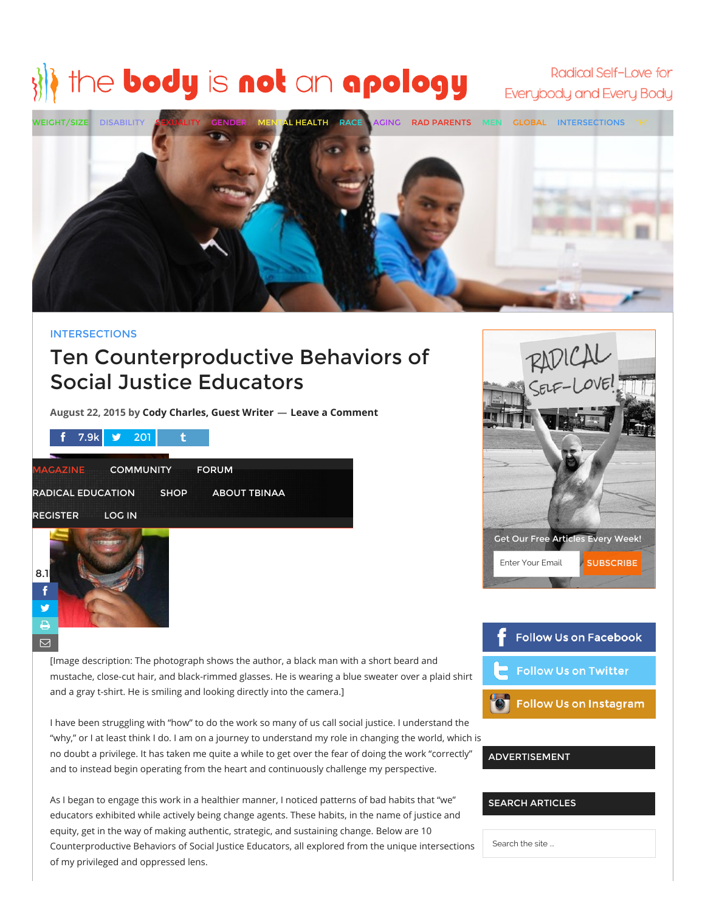# the body is not an apology

Radical Self-Love for Everybody and Every Body



# [INTERSECTIONS](http://thebodyisnotanapology.com/magazine/category/posts/intersections/)

# Ten Counterproductive Behaviors of Social Justice Educators

August 22, 2015 by Cody [Charles,](http://thebodyisnotanapology.com/magazine/author/cody-charles-guest-writer/) Guest Writer — Leave a Comment

|                          | $\frac{1}{2}$ 7.9k $\frac{1}{2}$ 201 |             |              |  |
|--------------------------|--------------------------------------|-------------|--------------|--|
| <b>MAGAZINE</b>          | <b>COMMUNITY</b>                     |             | <b>FORUM</b> |  |
| <b>RADICAL EDUCATION</b> |                                      | <b>SHOP</b> | ABOUT TBINAA |  |
| <b>REGISTER</b>          | <b>LOG IN</b>                        |             |              |  |



Get Our Free Articles Every Week! Enter Your Email **SUBSCRIBE** 



[Image description: The photograph shows the author, a black man with a short beard and mustache, close-cut hair, and black-rimmed glasses. He is wearing a blue sweater over a plaid shirt and a gray t-shirt. He is smiling and looking directly into the camera.]

I have been struggling with "how" to do the work so many of us call social justice. I understand the "why," or I at least think I do. I am on a journey to understand my role in changing the world, which is no doubt a privilege. It has taken me quite a while to get over the fear of doing the work "correctly" and to instead begin operating from the heart and continuously challenge my perspective.

As I began to engage this work in a healthier manner, I noticed patterns of bad habits that "we" educators exhibited while actively being change agents. These habits, in the name of justice and equity, get in the way of making authentic, strategic, and sustaining change. Below are 10 Counterproductive Behaviors of Social Justice Educators, all explored from the unique intersections of my privileged and oppressed lens.

ADVERTISEMENT

SEARCH ARTICLES

Search the site ...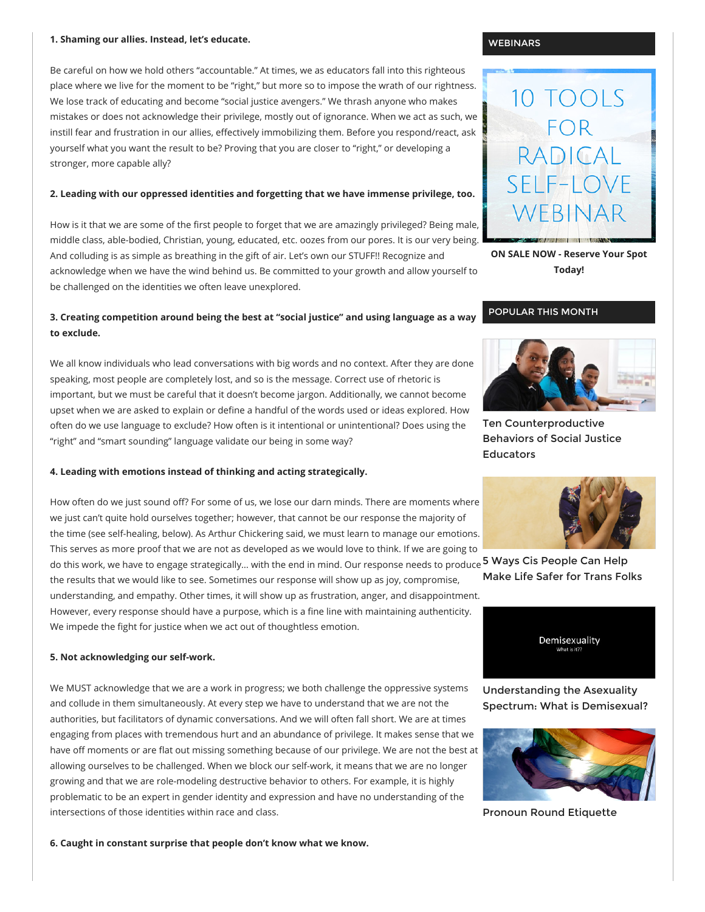#### 1. Shaming our allies. Instead, let's educate.

Be careful on how we hold others "accountable." At times, we as educators fall into this righteous place where we live for the moment to be "right," but more so to impose the wrath of our rightness. We lose track of educating and become "social justice avengers." We thrash anyone who makes mistakes or does not acknowledge their privilege, mostly out of ignorance. When we act as such, we instill fear and frustration in our allies, effectively immobilizing them. Before you respond/react, ask yourself what you want the result to be? Proving that you are closer to "right," or developing a stronger, more capable ally?

#### 2. Leading with our oppressed identities and forgetting that we have immense privilege, too.

How is it that we are some of the first people to forget that we are amazingly privileged? Being male, middle class, able-bodied, Christian, young, educated, etc. oozes from our pores. It is our very being. And colluding is as simple as breathing in the gift of air. Let's own our STUFF!! Recognize and

acknowledge when we have the wind behind us. Be committed to your growth and allow yourself to be challenged on the identities we often leave unexplored.

# 3. Creating competition around being the best at "social justice" and using language as a way to exclude.

We all know individuals who lead conversations with big words and no context. After they are done speaking, most people are completely lost, and so is the message. Correct use of rhetoric is important, but we must be careful that it doesn't become jargon. Additionally, we cannot become upset when we are asked to explain or define a handful of the words used or ideas explored. How often do we use language to exclude? How often is it intentional or unintentional? Does using the "right" and "smart sounding" language validate our being in some way?

## 4. Leading with emotions instead of thinking and acting strategically.

How often do we just sound off? For some of us, we lose our darn minds. There are moments where we just can't quite hold ourselves together; however, that cannot be our response the majority of the time (see self-healing, below). As Arthur Chickering said, we must learn to manage our emotions. This serves as more proof that we are not as developed as we would love to think. If we are going to do this work, we have to engage strategically… with the end in mind. Our response needs to produce **5 Ways Cis [People](http://thebodyisnotanapology.com/magazine/5-ways-cis-people-can-help-make-life-safer-for-trans-folks/) Can Help** the results that we would like to see. Sometimes our response will show up as joy, compromise, understanding, and empathy. Other times, it will show up as frustration, anger, and disappointment. However, every response should have a purpose, which is a fine line with maintaining authenticity. We impede the fight for justice when we act out of thoughtless emotion.

#### 5. Not acknowledging our self-work.

We MUST acknowledge that we are a work in progress; we both challenge the oppressive systems and collude in them simultaneously. At every step we have to understand that we are not the authorities, but facilitators of dynamic conversations. And we will often fall short. We are at times engaging from places with tremendous hurt and an abundance of privilege. It makes sense that we have off moments or are flat out missing something because of our privilege. We are not the best at allowing ourselves to be challenged. When we block our self-work, it means that we are no longer growing and that we are role-modeling destructive behavior to others. For example, it is highly problematic to be an expert in gender identity and expression and have no understanding of the intersections of those identities within race and class.

6. Caught in constant surprise that people don't know what we know.

#### **WEBINARS**



ON SALE NOW - [Reserve](http://thebodyisnotanapology.com/10-tools-for-radical-self-love/) Your Spot Today!

# POPULAR THIS MONTH



Ten Counterproductive Behaviors of Social Justice Educators



Make Life Safer for Trans Folks



[Understanding](http://thebodyisnotanapology.com/magazine/let-them-eat-cake-on-being-demisexual/) the Asexuality Spectrum: What is Demisexual?



Pronoun Round [Etiquette](http://thebodyisnotanapology.com/magazine/pronoun-round-etiquette/)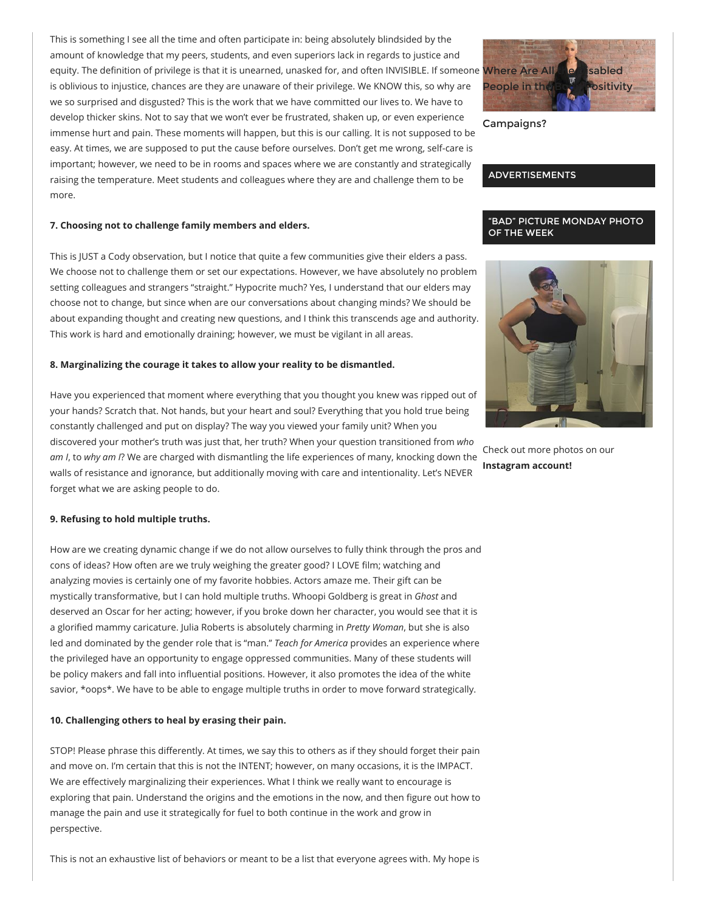This is something I see all the time and often participate in: being absolutely blindsided by the amount of knowledge that my peers, students, and even superiors lack in regards to justice and equity. The definition of privilege is that it is unearned, unasked for, and often INVISIBLE. If someone Where Are All **the Disabled** is oblivious to injustice, chances are they are unaware of their privilege. We KNOW this, so why are we so surprised and disgusted? This is the work that we have committed our lives to. We have to develop thicker skins. Not to say that we won't ever be frustrated, shaken up, or even experience immense hurt and pain. These moments will happen, but this is our calling. It is not supposed to be easy. At times, we are supposed to put the cause before ourselves. Don't get me wrong, self-care is important; however, we need to be in rooms and spaces where we are constantly and strategically raising the temperature. Meet students and colleagues where they are and challenge them to be more.

# 7. Choosing not to challenge family members and elders.

This is JUST a Cody observation, but I notice that quite a few communities give their elders a pass. We choose not to challenge them or set our expectations. However, we have absolutely no problem setting colleagues and strangers "straight." Hypocrite much? Yes, I understand that our elders may choose not to change, but since when are our conversations about changing minds? We should be about expanding thought and creating new questions, and I think this transcends age and authority. This work is hard and emotionally draining; however, we must be vigilant in all areas.

## 8. Marginalizing the courage it takes to allow your reality to be dismantled.

Have you experienced that moment where everything that you thought you knew was ripped out of your hands? Scratch that. Not hands, but your heart and soul? Everything that you hold true being constantly challenged and put on display? The way you viewed your family unit? When you discovered your mother's truth was just that, her truth? When your question transitioned from who am I, to why am I? We are charged with dismantling the life experiences of many, knocking down the walls of resistance and ignorance, but additionally moving with care and intentionality. Let's NEVER forget what we are asking people to do.

## 9. Refusing to hold multiple truths.

How are we creating dynamic change if we do not allow ourselves to fully think through the pros and cons of ideas? How often are we truly weighing the greater good? I LOVE film; watching and analyzing movies is certainly one of my favorite hobbies. Actors amaze me. Their gift can be mystically transformative, but I can hold multiple truths. Whoopi Goldberg is great in Ghost and deserved an Oscar for her acting; however, if you broke down her character, you would see that it is a glorified mammy caricature. Julia Roberts is absolutely charming in Pretty Woman, but she is also led and dominated by the gender role that is "man." Teach for America provides an experience where the privileged have an opportunity to engage oppressed communities. Many of these students will be policy makers and fall into influential positions. However, it also promotes the idea of the white savior, \*oops\*. We have to be able to engage multiple truths in order to move forward strategically.

# 10. Challenging others to heal by erasing their pain.

STOP! Please phrase this differently. At times, we say this to others as if they should forget their pain and move on. I'm certain that this is not the INTENT; however, on many occasions, it is the IMPACT. We are effectively marginalizing their experiences. What I think we really want to encourage is exploring that pain. Understand the origins and the emotions in the now, and then figure out how to manage the pain and use it strategically for fuel to both continue in the work and grow in perspective.

This is not an exhaustive list of behaviors or meant to be a list that everyone agrees with. My hope is



[Campaigns?](http://thebodyisnotanapology.com/magazine/where-are-all-the-disabled-people-in-the-body-positivity-campaigns/)

# ADVERTISEMENTS

# "BAD" PICTURE MONDAY PHOTO OF THE WEEK



Check out more photos on our [Instagram](http://instagram.com/thebodyisnotanapology) account!